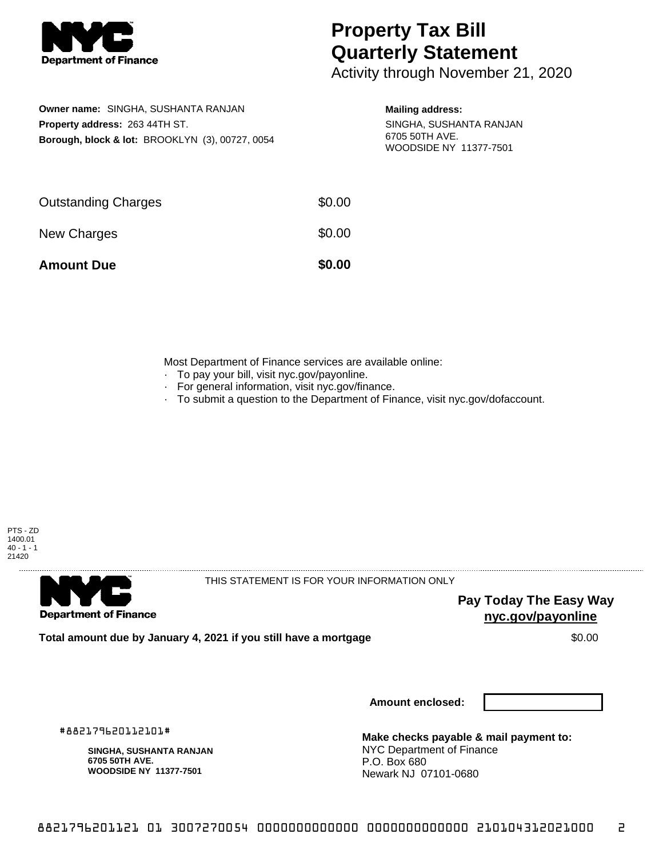

## **Property Tax Bill Quarterly Statement**

Activity through November 21, 2020

| Owner name: SINGHA, SUSHANTA RANJAN                        |  |  |  |  |
|------------------------------------------------------------|--|--|--|--|
| <b>Property address: 263 44TH ST.</b>                      |  |  |  |  |
| <b>Borough, block &amp; lot: BROOKLYN (3), 00727, 0054</b> |  |  |  |  |

## **Mailing address:**

SINGHA, SUSHANTA RANJAN 6705 50TH AVE. WOODSIDE NY 11377-7501

| <b>Amount Due</b>          | \$0.00 |
|----------------------------|--------|
| New Charges                | \$0.00 |
| <b>Outstanding Charges</b> | \$0.00 |

Most Department of Finance services are available online:

- · To pay your bill, visit nyc.gov/payonline.
- For general information, visit nyc.gov/finance.
- · To submit a question to the Department of Finance, visit nyc.gov/dofaccount.





THIS STATEMENT IS FOR YOUR INFORMATION ONLY

**Pay Today The Easy Way nyc.gov/payonline**

**Total amount due by January 4, 2021 if you still have a mortgage**  $$0.00$ 

**Amount enclosed:**

#882179620112101#

**SINGHA, SUSHANTA RANJAN 6705 50TH AVE. WOODSIDE NY 11377-7501**

**Make checks payable & mail payment to:** NYC Department of Finance P.O. Box 680 Newark NJ 07101-0680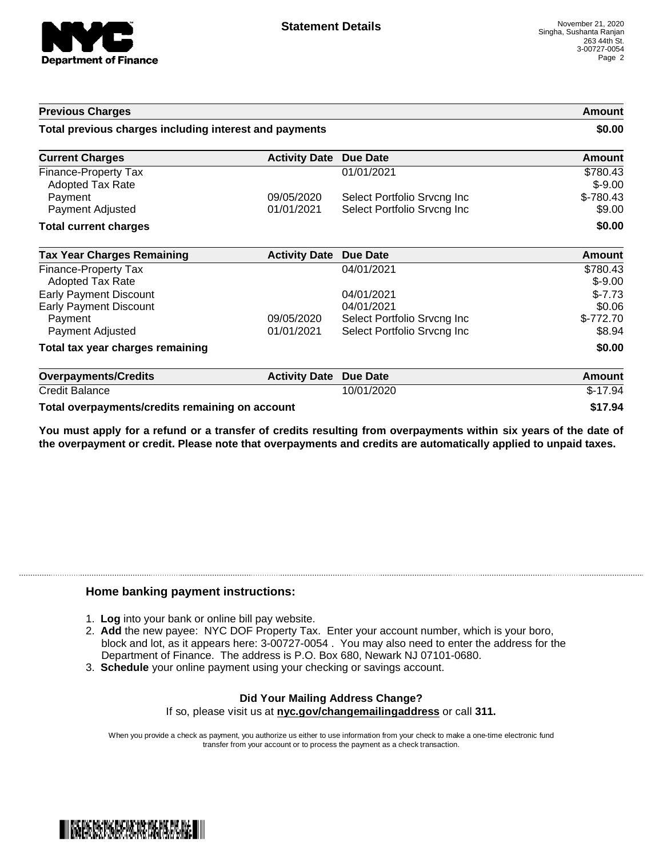

| <b>Previous Charges</b>                                |                      |                             | Amount                |
|--------------------------------------------------------|----------------------|-----------------------------|-----------------------|
| Total previous charges including interest and payments |                      |                             | \$0.00                |
| <b>Current Charges</b>                                 | <b>Activity Date</b> | <b>Due Date</b>             | <b>Amount</b>         |
| Finance-Property Tax<br>Adopted Tax Rate               |                      | 01/01/2021                  | \$780.43<br>$$ -9.00$ |
| Payment                                                | 09/05/2020           | Select Portfolio Srvcng Inc | $$-780.43$            |
| Payment Adjusted                                       | 01/01/2021           | Select Portfolio Srvcng Inc | \$9.00                |
| <b>Total current charges</b>                           |                      |                             | \$0.00                |
| <b>Tax Year Charges Remaining</b>                      | <b>Activity Date</b> | <b>Due Date</b>             | <b>Amount</b>         |
| Finance-Property Tax                                   |                      | 04/01/2021                  | \$780.43              |
| Adopted Tax Rate                                       |                      |                             | $$-9.00$              |
| <b>Early Payment Discount</b>                          |                      | 04/01/2021                  | $$-7.73$              |
| <b>Early Payment Discount</b>                          |                      | 04/01/2021                  | \$0.06                |
| Payment                                                | 09/05/2020           | Select Portfolio Srvcng Inc | $$-772.70$            |
| Payment Adjusted                                       | 01/01/2021           | Select Portfolio Srvcng Inc | \$8.94                |
| Total tax year charges remaining                       |                      |                             | \$0.00                |
| <b>Overpayments/Credits</b>                            | <b>Activity Date</b> | Due Date                    | Amount                |
| <b>Credit Balance</b>                                  |                      | 10/01/2020                  | $$-17.94$             |
| Total overpayments/credits remaining on account        | \$17.94              |                             |                       |

You must apply for a refund or a transfer of credits resulting from overpayments within six years of the date of **the overpayment or credit. Please note that overpayments and credits are automatically applied to unpaid taxes.**

## **Home banking payment instructions:**

- 1. **Log** into your bank or online bill pay website.
- 2. **Add** the new payee: NYC DOF Property Tax. Enter your account number, which is your boro, block and lot, as it appears here: 3-00727-0054 . You may also need to enter the address for the Department of Finance. The address is P.O. Box 680, Newark NJ 07101-0680.
- 3. **Schedule** your online payment using your checking or savings account.

## **Did Your Mailing Address Change?** If so, please visit us at **nyc.gov/changemailingaddress** or call **311.**

When you provide a check as payment, you authorize us either to use information from your check to make a one-time electronic fund transfer from your account or to process the payment as a check transaction.